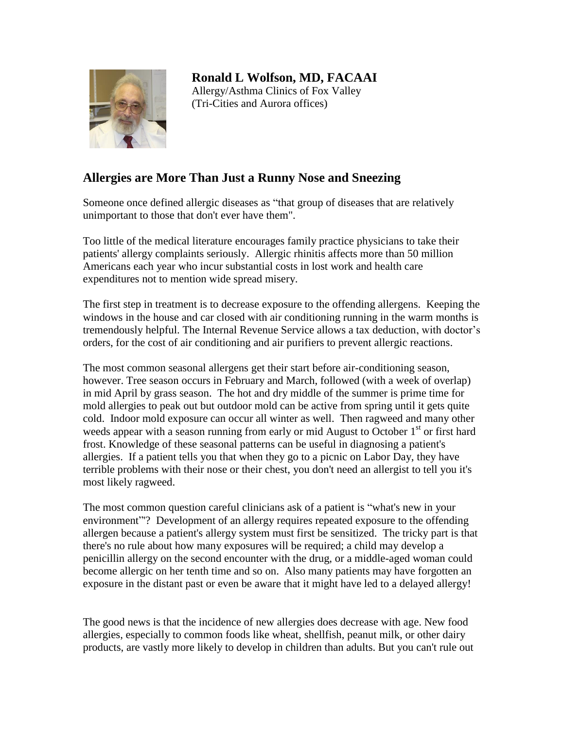

**Ronald L Wolfson, MD, FACAAI** Allergy/Asthma Clinics of Fox Valley (Tri-Cities and Aurora offices)

## **Allergies are More Than Just a Runny Nose and Sneezing**

Someone once defined allergic diseases as "that group of diseases that are relatively unimportant to those that don't ever have them".

Too little of the medical literature encourages family practice physicians to take their patients' allergy complaints seriously. Allergic rhinitis affects more than 50 million Americans each year who incur substantial costs in lost work and health care expenditures not to mention wide spread misery.

The first step in treatment is to decrease exposure to the offending allergens. Keeping the windows in the house and car closed with air conditioning running in the warm months is tremendously helpful. The Internal Revenue Service allows a tax deduction, with doctor's orders, for the cost of air conditioning and air purifiers to prevent allergic reactions.

The most common seasonal allergens get their start before air-conditioning season, however. Tree season occurs in February and March, followed (with a week of overlap) in mid April by grass season. The hot and dry middle of the summer is prime time for mold allergies to peak out but outdoor mold can be active from spring until it gets quite cold. Indoor mold exposure can occur all winter as well. Then ragweed and many other weeds appear with a season running from early or mid August to October  $1<sup>st</sup>$  or first hard frost. Knowledge of these seasonal patterns can be useful in diagnosing a patient's allergies. If a patient tells you that when they go to a picnic on Labor Day, they have terrible problems with their nose or their chest, you don't need an allergist to tell you it's most likely ragweed.

The most common question careful clinicians ask of a patient is "what's new in your environment"'? Development of an allergy requires repeated exposure to the offending allergen because a patient's allergy system must first be sensitized. The tricky part is that there's no rule about how many exposures will be required; a child may develop a penicillin allergy on the second encounter with the drug, or a middle-aged woman could become allergic on her tenth time and so on. Also many patients may have forgotten an exposure in the distant past or even be aware that it might have led to a delayed allergy!

The good news is that the incidence of new allergies does decrease with age. New food allergies, especially to common foods like wheat, shellfish, peanut milk, or other dairy products, are vastly more likely to develop in children than adults. But you can't rule out